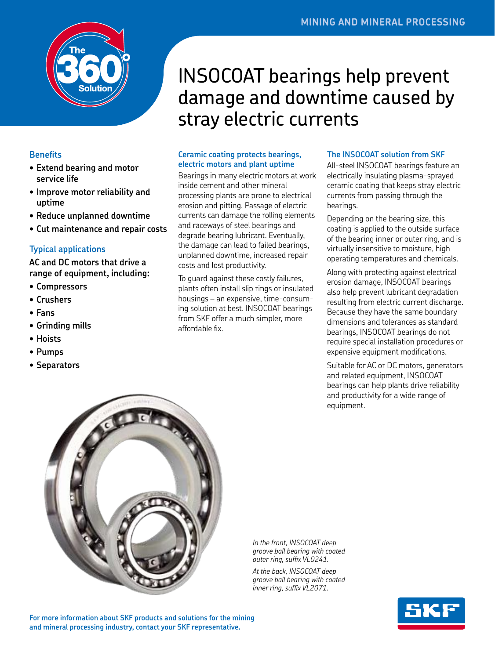

## **Benefits**

- **• Extend bearing and motor service life**
- **• Improve motor reliability and uptime**
- **• Reduce unplanned downtime**
- **• Cut maintenance and repair costs**

## **Typical applications**

**AC and DC motors that drive a range of equipment, including:** 

- **• Compressors**
- **• Crushers**
- **• Fans**
- **• Grinding mills**
- **• Hoists**
- **• Pumps**
- **• Separators**

# INSOCOAT bearings help prevent damage and downtime caused by stray electric currents

## **Ceramic coating protects bearings, electric motors and plant uptime**

Bearings in many electric motors at work inside cement and other mineral processing plants are prone to electrical erosion and pitting. Passage of electric currents can damage the rolling elements and raceways of steel bearings and degrade bearing lubricant. Eventually, the damage can lead to failed bearings, unplanned downtime, increased repair costs and lost productivity.

To guard against these costly failures, plants often install slip rings or insulated housings – an expensive, time-consuming solution at best. INSOCOAT bearings from SKF offer a much simpler, more affordable fix.

#### **The INSOCOAT solution from SKF**

All-steel INSOCOAT bearings feature an electrically insulating plasma-sprayed ceramic coating that keeps stray electric currents from passing through the bearings.

Depending on the bearing size, this coating is applied to the outside surface of the bearing inner or outer ring, and is virtually insensitive to moisture, high operating temperatures and chemicals.

Along with protecting against electrical erosion damage, INSOCOAT bearings also help prevent lubricant degradation resulting from electric current discharge. Because they have the same boundary dimensions and tolerances as standard bearings, INSOCOAT bearings do not require special installation procedures or expensive equipment modifications.

Suitable for AC or DC motors, generators and related equipment, INSOCOAT bearings can help plants drive reliability and productivity for a wide range of equipment.



*In the front, INSOCOAT deep groove ball bearing with coated outer ring, suffix VL0241.*

*At the back, INSOCOAT deep groove ball bearing with coated inner ring, suffix VL2071.*



**For more information about SKF products and solutions for the mining and mineral processing industry, contact your SKF representative.**